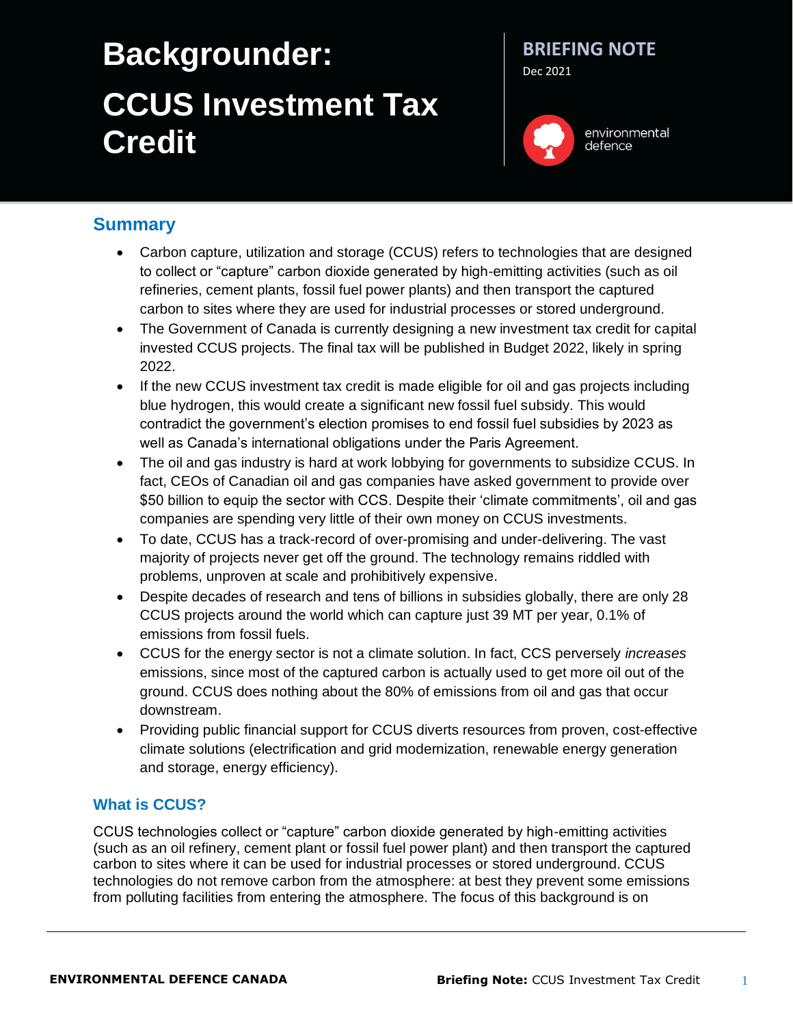# **Backgrounder: CCUS Investment Tax Credit**

## **BRIEFING NOTE**

Dec 2021



environmental defence

## **Summary**

- Carbon capture, utilization and storage (CCUS) refers to technologies that are designed to collect or "capture" carbon dioxide generated by high-emitting activities (such as oil refineries, cement plants, fossil fuel power plants) and then transport the captured carbon to sites where they are used for industrial processes or stored underground.
- The Government of Canada is currently designing a new investment tax credit for capital invested CCUS projects. The final tax will be published in Budget 2022, likely in spring 2022.
- If the new CCUS investment tax credit is made eligible for oil and gas projects including blue hydrogen, this would create a significant new fossil fuel subsidy. This would contradict the government's election promises to end fossil fuel subsidies by 2023 as well as Canada's international obligations under the Paris Agreement.
- The oil and gas industry is hard at work lobbying for governments to subsidize CCUS. In fact, CEOs of Canadian oil and gas companies have asked government to provide over \$50 billion to equip the sector with CCS. Despite their 'climate commitments', oil and gas companies are spending very little of their own money on CCUS investments.
- To date, CCUS has a track-record of over-promising and under-delivering. The vast majority of projects never get off the ground. The technology remains riddled with problems, unproven at scale and prohibitively expensive.
- Despite decades of research and tens of billions in subsidies globally, there are only 28 CCUS projects around the world which can capture just 39 MT per year, 0.1% of emissions from fossil fuels.
- CCUS for the energy sector is not a climate solution. In fact, CCS perversely *increases* emissions, since most of the captured carbon is actually used to get more oil out of the ground. CCUS does nothing about the 80% of emissions from oil and gas that occur downstream.
- Providing public financial support for CCUS diverts resources from proven, cost-effective climate solutions (electrification and grid modernization, renewable energy generation and storage, energy efficiency).

#### **What is CCUS?**

CCUS technologies collect or "capture" carbon dioxide generated by high-emitting activities (such as an oil refinery, cement plant or fossil fuel power plant) and then transport the captured carbon to sites where it can be used for industrial processes or stored underground. CCUS technologies do not remove carbon from the atmosphere: at best they prevent some emissions from polluting facilities from entering the atmosphere. The focus of this background is on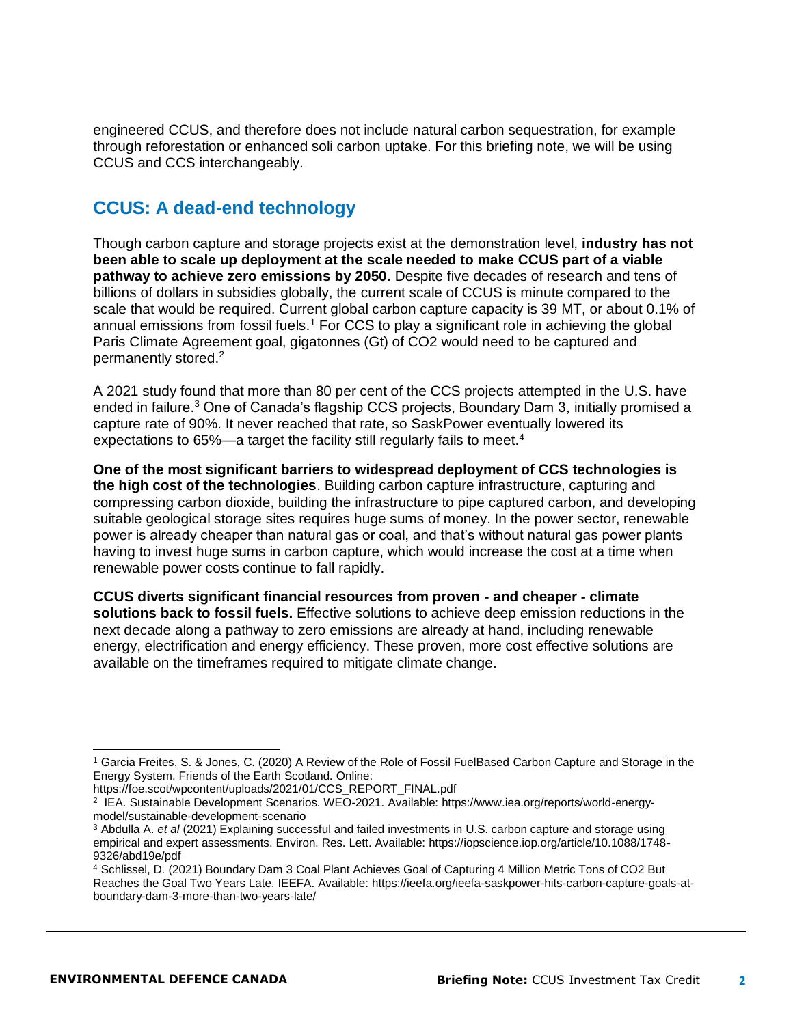engineered CCUS, and therefore does not include natural carbon sequestration, for example through reforestation or enhanced soli carbon uptake. For this briefing note, we will be using CCUS and CCS interchangeably.

## **CCUS: A dead-end technology**

Though carbon capture and storage projects exist at the demonstration level, **industry has not been able to scale up deployment at the scale needed to make CCUS part of a viable pathway to achieve zero emissions by 2050.** Despite five decades of research and tens of billions of dollars in subsidies globally, the current scale of CCUS is minute compared to the scale that would be required. Current global carbon capture capacity is 39 MT, or about 0.1% of annual emissions from fossil fuels.<sup>1</sup> For CCS to play a significant role in achieving the global Paris Climate Agreement goal, gigatonnes (Gt) of CO2 would need to be captured and permanently stored.<sup>2</sup>

A 2021 study found that more than 80 per cent of the CCS projects attempted in the U.S. have ended in failure.<sup>3</sup> One of Canada's flagship CCS projects, Boundary Dam 3, initially promised a capture rate of 90%. It never reached that rate, so SaskPower eventually lowered its expectations to 65%—a target the facility still regularly fails to meet.<sup>4</sup>

**One of the most significant barriers to widespread deployment of CCS technologies is the high cost of the technologies**. Building carbon capture infrastructure, capturing and compressing carbon dioxide, building the infrastructure to pipe captured carbon, and developing suitable geological storage sites requires huge sums of money. In the power sector, renewable power is already cheaper than natural gas or coal, and that's without natural gas power plants having to invest huge sums in carbon capture, which would increase the cost at a time when renewable power costs continue to fall rapidly.

**CCUS diverts significant financial resources from proven - and cheaper - climate solutions back to fossil fuels.** Effective solutions to achieve deep emission reductions in the next decade along a pathway to zero emissions are already at hand, including renewable energy, electrification and energy efficiency. These proven, more cost effective solutions are available on the timeframes required to mitigate climate change.

 $\overline{a}$ <sup>1</sup> Garcia Freites, S. & Jones, C. (2020) A Review of the Role of Fossil FuelBased Carbon Capture and Storage in the Energy System. Friends of the Earth Scotland. Online:

https://foe.scot/wpcontent/uploads/2021/01/CCS\_REPORT\_FINAL.pdf

<sup>2</sup> IEA. Sustainable Development Scenarios. WEO-2021. Available: https://www.iea.org/reports/world-energymodel/sustainable-development-scenario

<sup>3</sup> Abdulla A. *et al* (2021) Explaining successful and failed investments in U.S. carbon capture and storage using empirical and expert assessments. Environ. Res. Lett. Available: https://iopscience.iop.org/article/10.1088/1748- 9326/abd19e/pdf

<sup>4</sup> Schlissel, D. (2021) Boundary Dam 3 Coal Plant Achieves Goal of Capturing 4 Million Metric Tons of CO2 But Reaches the Goal Two Years Late. IEEFA. Available: https://ieefa.org/ieefa-saskpower-hits-carbon-capture-goals-atboundary-dam-3-more-than-two-years-late/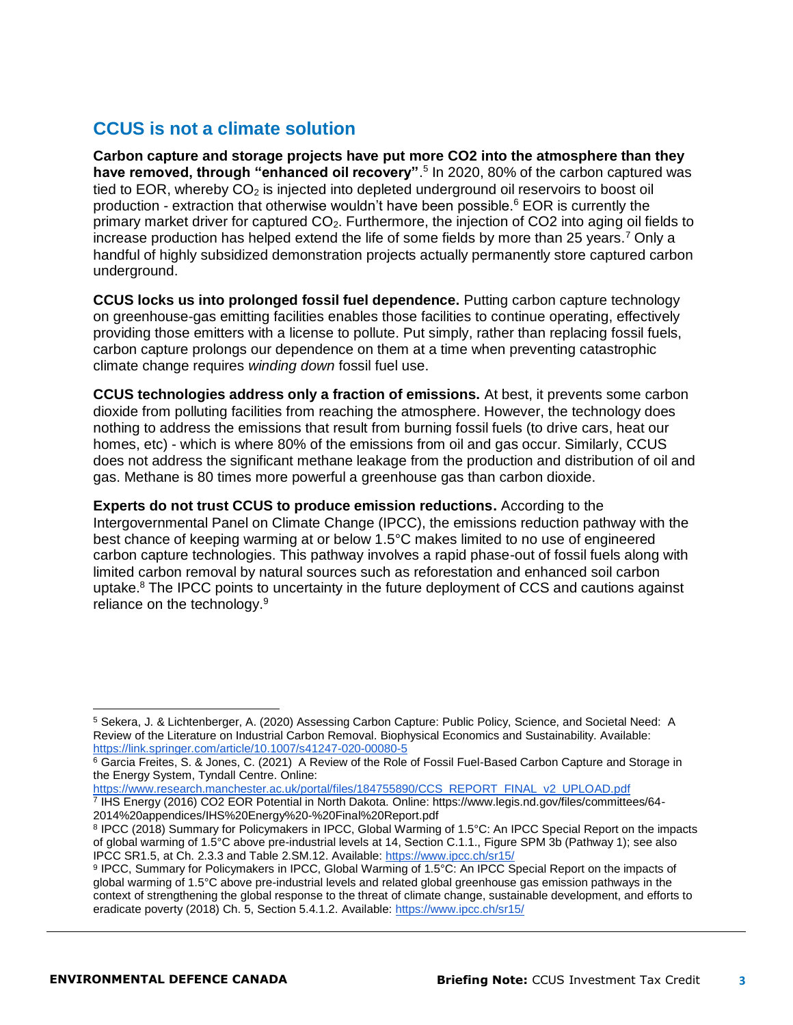#### **CCUS is not a climate solution**

**Carbon capture and storage projects have put more CO2 into the atmosphere than they**  have removed, through "enhanced oil recovery".<sup>5</sup> In 2020, 80% of the carbon captured was tied to EOR, whereby  $CO<sub>2</sub>$  is injected into depleted underground oil reservoirs to boost oil production - extraction that otherwise wouldn't have been possible.<sup>6</sup> EOR is currently the primary market driver for captured CO<sub>2</sub>. Furthermore, the injection of CO2 into aging oil fields to increase production has helped extend the life of some fields by more than 25 years.<sup>7</sup> Only a handful of highly subsidized demonstration projects actually permanently store captured carbon underground.

**CCUS locks us into prolonged fossil fuel dependence.** Putting carbon capture technology on greenhouse-gas emitting facilities enables those facilities to continue operating, effectively providing those emitters with a license to pollute. Put simply, rather than replacing fossil fuels, carbon capture prolongs our dependence on them at a time when preventing catastrophic climate change requires *winding down* fossil fuel use.

**CCUS technologies address only a fraction of emissions.** At best, it prevents some carbon dioxide from polluting facilities from reaching the atmosphere. However, the technology does nothing to address the emissions that result from burning fossil fuels (to drive cars, heat our homes, etc) - which is where 80% of the emissions from oil and gas occur. Similarly, CCUS does not address the significant methane leakage from the production and distribution of oil and gas. Methane is 80 times more powerful a greenhouse gas than carbon dioxide.

**Experts do not trust CCUS to produce emission reductions.** According to the Intergovernmental Panel on Climate Change (IPCC), the emissions reduction pathway with the best chance of keeping warming at or below 1.5°C makes limited to no use of engineered carbon capture technologies. This pathway involves a rapid phase-out of fossil fuels along with limited carbon removal by natural sources such as reforestation and enhanced soil carbon uptake.<sup>8</sup> The IPCC points to uncertainty in the future deployment of CCS and cautions against reliance on the technology.<sup>9</sup>

<sup>5</sup> Sekera, J. & Lichtenberger, A. (2020) Assessing Carbon Capture: Public Policy, Science, and Societal Need: A Review of the Literature on Industrial Carbon Removal. Biophysical Economics and Sustainability. Availabl[e:](https://link.springer.com/article/10.1007/s41247-020-00080-5) <https://link.springer.com/article/10.1007/s41247-020-00080-5>

<sup>6</sup> Garcia Freites, S. & Jones, C. (2021) A Review of the Role of Fossil Fuel-Based Carbon Capture and Storage in the Energy System, Tyndall Centre. Online:

[https://www.research.manchester.ac.uk/portal/files/184755890/CCS\\_REPORT\\_FINAL\\_v2\\_UPLOAD.pdf](https://www.research.manchester.ac.uk/portal/files/184755890/CCS_REPORT_FINAL_v2_UPLOAD.pdf)

<sup>7</sup> IHS Energy (2016) CO2 EOR Potential in North Dakota. Online: https://www.legis.nd.gov/files/committees/64- 2014%20appendices/IHS%20Energy%20-%20Final%20Report.pdf

<sup>8</sup> IPCC (2018) Summary for Policymakers in IPCC, Global Warming of 1.5°C: An IPCC Special Report on the impacts of global warming of 1.5°C above pre-industrial levels at 14, Section C.1.1., Figure SPM 3b (Pathway 1); see also IPCC SR1.5, at Ch. 2.3.3 and Table 2.SM.12. Available[: https://www.ipcc.ch/sr15/](https://www.ipcc.ch/sr15/)

<sup>9</sup> IPCC, Summary for Policymakers in IPCC, Global Warming of 1.5°C: An IPCC Special Report on the impacts of global warming of 1.5°C above pre-industrial levels and related global greenhouse gas emission pathways in the context of strengthening the global response to the threat of climate change, sustainable development, and efforts to eradicate poverty (2018) Ch. 5, Section 5.4.1.2. Available:<https://www.ipcc.ch/sr15/>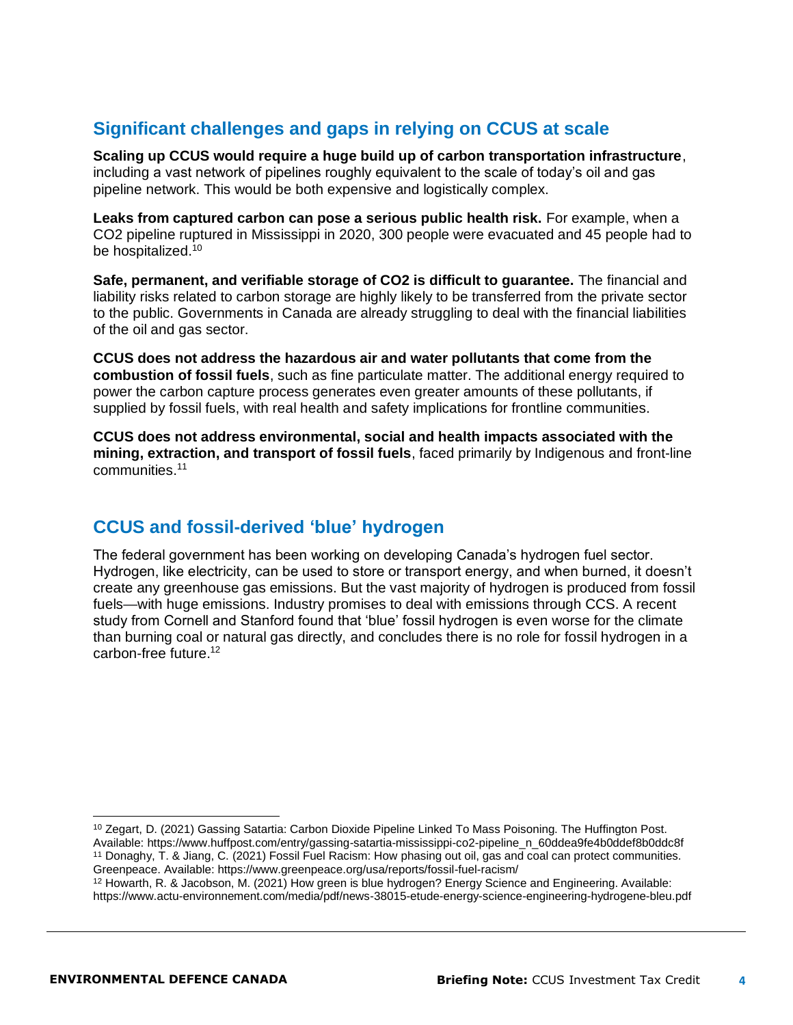#### **Significant challenges and gaps in relying on CCUS at scale**

**Scaling up CCUS would require a huge build up of carbon transportation infrastructure**, including a vast network of pipelines roughly equivalent to the scale of today's oil and gas pipeline network. This would be both expensive and logistically complex.

**Leaks from captured carbon can pose a serious public health risk.** For example, when a CO2 pipeline ruptured in Mississippi in 2020, 300 people were evacuated and 45 people had to be hospitalized.<sup>10</sup>

**Safe, permanent, and verifiable storage of CO2 is difficult to guarantee.** The financial and liability risks related to carbon storage are highly likely to be transferred from the private sector to the public. Governments in Canada are already struggling to deal with the financial liabilities of the oil and gas sector.

**CCUS does not address the hazardous air and water pollutants that come from the combustion of fossil fuels**, such as fine particulate matter. The additional energy required to power the carbon capture process generates even greater amounts of these pollutants, if supplied by fossil fuels, with real health and safety implications for frontline communities.

**CCUS does not address environmental, social and health impacts associated with the mining, extraction, and transport of fossil fuels**, faced primarily by Indigenous and front-line communities.<sup>11</sup>

## **CCUS and fossil-derived 'blue' hydrogen**

The federal government has been working on developing Canada's hydrogen fuel sector. Hydrogen, like electricity, can be used to store or transport energy, and when burned, it doesn't create any greenhouse gas emissions. But the vast majority of hydrogen is produced from fossil fuels—with huge emissions. Industry promises to deal with emissions through CCS. A recent study from Cornell and Stanford found that 'blue' fossil hydrogen is even worse for the climate than burning coal or natural gas directly, and concludes there is no role for fossil hydrogen in a carbon-free future.<sup>12</sup>

<sup>10</sup> Zegart, D. (2021) Gassing Satartia: Carbon Dioxide Pipeline Linked To Mass Poisoning. The Huffington Post. Available: https://www.huffpost.com/entry/gassing-satartia-mississippi-co2-pipeline\_n\_60ddea9fe4b0ddef8b0ddc8f <sup>11</sup> Donaghy, T. & Jiang, C. (2021) Fossil Fuel Racism: How phasing out oil, gas and coal can protect communities. Greenpeace. Available: https://www.greenpeace.org/usa/reports/fossil-fuel-racism/

<sup>12</sup> Howarth, R. & Jacobson, M. (2021) How green is blue hydrogen? Energy Science and Engineering. Available: https://www.actu-environnement.com/media/pdf/news-38015-etude-energy-science-engineering-hydrogene-bleu.pdf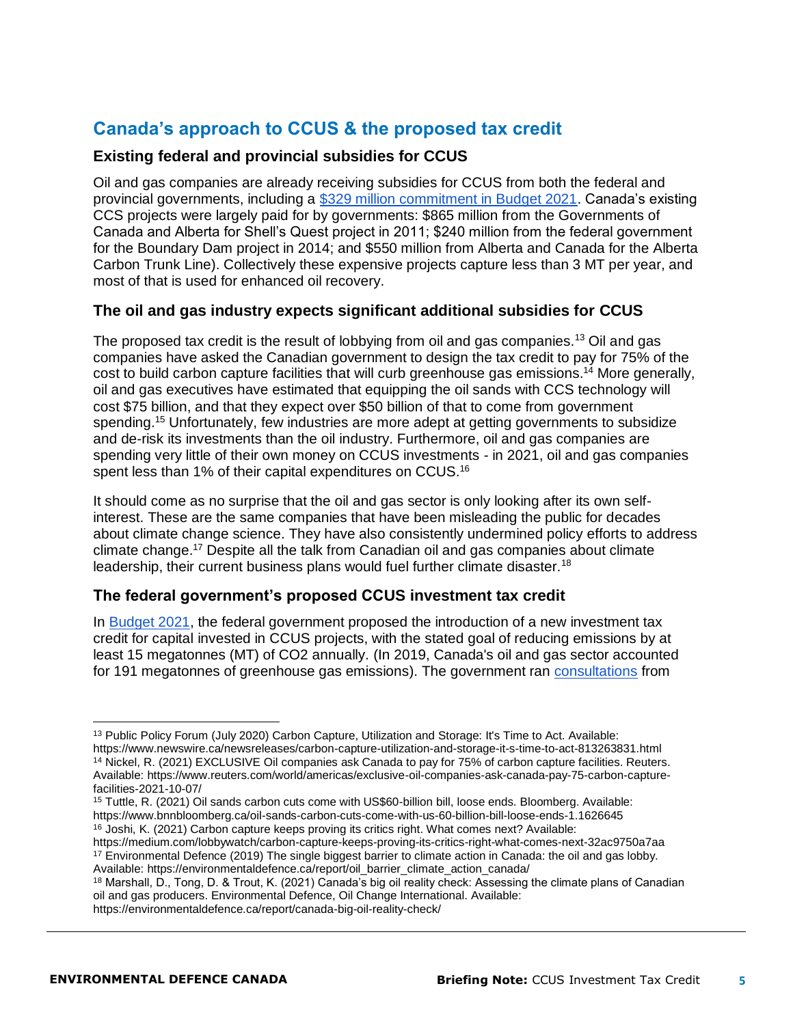## **Canada's approach to CCUS & the proposed tax credit**

#### **Existing federal and provincial subsidies for CCUS**

Oil and gas companies are already receiving subsidies for CCUS from both the federal and provincial governments, including a [\\$329 million commitment in Budget 2021.](https://www.nrcan.gc.ca/science-and-data/funding-partnerships/funding-opportunities/funding-grants-incentives/energy-innovation-program/energy-innovation-program-carbon-capture-utilization-and-storage-stream/23815) Canada's existing CCS projects were largely paid for by governments: \$865 million from the Governments of Canada and Alberta for Shell's Quest project in 2011; \$240 million from the federal government for the Boundary Dam project in 2014; and \$550 million from Alberta and Canada for the Alberta Carbon Trunk Line). Collectively these expensive projects capture less than 3 MT per year, and most of that is used for enhanced oil recovery.

#### **The oil and gas industry expects significant additional subsidies for CCUS**

The proposed tax credit is the result of lobbying from oil and gas companies.<sup>13</sup> Oil and gas companies have asked the Canadian government to design the tax credit to pay for 75% of the cost to build carbon capture facilities that will curb greenhouse gas emissions.<sup>14</sup> More generally, oil and gas executives have estimated that equipping the oil sands with CCS technology will cost \$75 billion, and that they expect over \$50 billion of that to come from government spending.<sup>15</sup> Unfortunately, few industries are more adept at getting governments to subsidize and de-risk its investments than the oil industry. Furthermore, oil and gas companies are spending very little of their own money on CCUS investments - in 2021, oil and gas companies spent less than 1% of their capital expenditures on CCUS.<sup>16</sup>

It should come as no surprise that the oil and gas sector is only looking after its own selfinterest. These are the same companies that have been misleading the public for decades about climate change science. They have also consistently undermined policy efforts to address climate change.<sup>17</sup> Despite all the talk from Canadian oil and gas companies about climate leadership, their current business plans would fuel further climate disaster.<sup>18</sup>

#### **The federal government's proposed CCUS investment tax credit**

In [Budget 2021,](https://www.budget.gc.ca/2021/report-rapport/p2-en.html#114) the federal government proposed the introduction of a new investment tax credit for capital invested in CCUS projects, with the stated goal of reducing emissions by at least 15 megatonnes (MT) of CO2 annually. (In 2019, Canada's oil and gas sector accounted for 191 megatonnes of greenhouse gas emissions). The government ran [consultations](https://www.canada.ca/en/department-finance/news/2021/06/department-of-finance-launches-consultations-on-investment-tax-credit-for-carbon-capture-utilization-and-storage.html) from

<sup>15</sup> Tuttle, R. (2021) Oil sands carbon cuts come with US\$60-billion bill, loose ends. Bloomberg. Available: https://www.bnnbloomberg.ca/oil-sands-carbon-cuts-come-with-us-60-billion-bill-loose-ends-1.1626645 <sup>16</sup> Joshi, K. (2021) Carbon capture keeps proving its critics right. What comes next? Available:

https://medium.com/lobbywatch/carbon-capture-keeps-proving-its-critics-right-what-comes-next-32ac9750a7aa <sup>17</sup> Environmental Defence (2019) The single biggest barrier to climate action in Canada: the oil and gas lobby. Available: https://environmentaldefence.ca/report/oil\_barrier\_climate\_action\_canada/

<sup>&</sup>lt;sup>13</sup> Public Policy Forum (July 2020) Carbon Capture, Utilization and Storage: It's Time to Act. Available: https://www.newswire.ca/newsreleases/carbon-capture-utilization-and-storage-it-s-time-to-act-813263831.html <sup>14</sup> Nickel, R. (2021) EXCLUSIVE Oil companies ask Canada to pay for 75% of carbon capture facilities. Reuters. Available: https://www.reuters.com/world/americas/exclusive-oil-companies-ask-canada-pay-75-carbon-capturefacilities-2021-10-07/

<sup>18</sup> Marshall, D., Tong, D. & Trout, K. (2021) Canada's big oil reality check: Assessing the climate plans of Canadian oil and gas producers. Environmental Defence, Oil Change International. Available: https://environmentaldefence.ca/report/canada-big-oil-reality-check/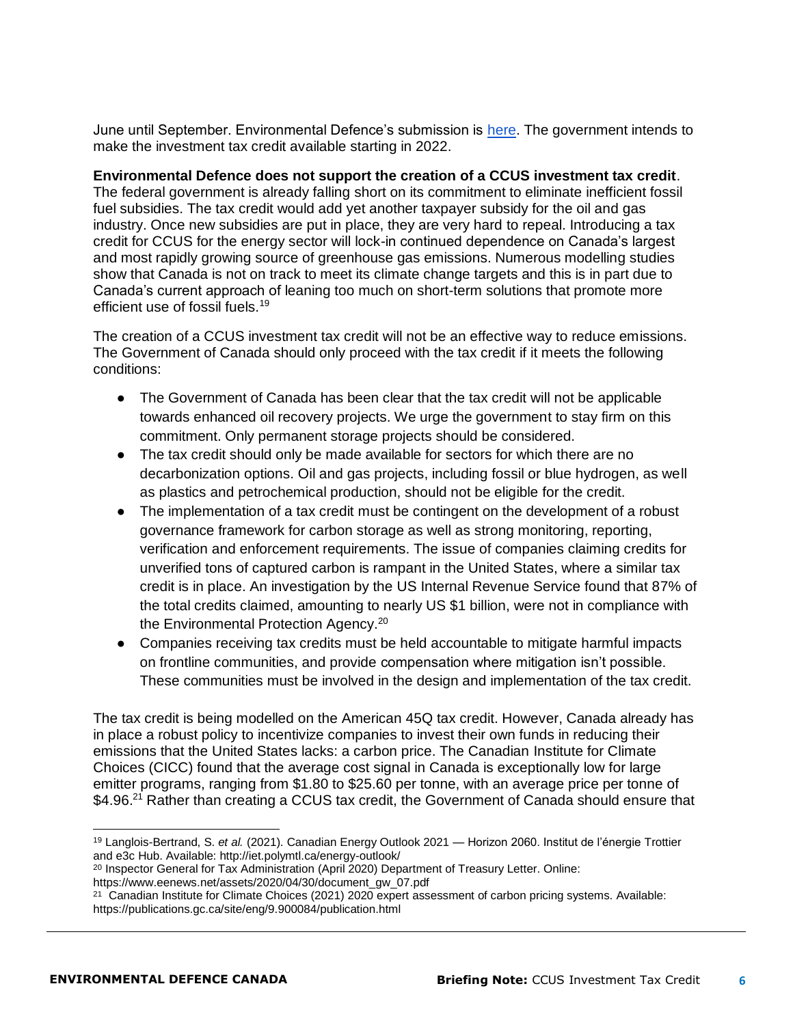June until September. Environmental Defence's submission is [here.](https://environmentaldefence.ca/report/ccus_consultation/) The government intends to make the investment tax credit available starting in 2022.

#### **Environmental Defence does not support the creation of a CCUS investment tax credit**.

The federal government is already falling short on its commitment to eliminate inefficient fossil fuel subsidies. The tax credit would add yet another taxpayer subsidy for the oil and gas industry. Once new subsidies are put in place, they are very hard to repeal. Introducing a tax credit for CCUS for the energy sector will lock-in continued dependence on Canada's largest and most rapidly growing source of greenhouse gas emissions. Numerous modelling studies show that Canada is not on track to meet its climate change targets and this is in part due to Canada's current approach of leaning too much on short-term solutions that promote more efficient use of fossil fuels.<sup>19</sup>

The creation of a CCUS investment tax credit will not be an effective way to reduce emissions. The Government of Canada should only proceed with the tax credit if it meets the following conditions:

- The Government of Canada has been clear that the tax credit will not be applicable towards enhanced oil recovery projects. We urge the government to stay firm on this commitment. Only permanent storage projects should be considered.
- The tax credit should only be made available for sectors for which there are no decarbonization options. Oil and gas projects, including fossil or blue hydrogen, as well as plastics and petrochemical production, should not be eligible for the credit.
- The implementation of a tax credit must be contingent on the development of a robust governance framework for carbon storage as well as strong monitoring, reporting, verification and enforcement requirements. The issue of companies claiming credits for unverified tons of captured carbon is rampant in the United States, where a similar tax credit is in place. An investigation by the US Internal Revenue Service found that 87% of the total credits claimed, amounting to nearly US \$1 billion, were not in compliance with the Environmental Protection Agency.<sup>20</sup>
- Companies receiving tax credits must be held accountable to mitigate harmful impacts on frontline communities, and provide compensation where mitigation isn't possible. These communities must be involved in the design and implementation of the tax credit.

The tax credit is being modelled on the American 45Q tax credit. However, Canada already has in place a robust policy to incentivize companies to invest their own funds in reducing their emissions that the United States lacks: a carbon price. The Canadian Institute for Climate Choices (CICC) found that the average cost signal in Canada is exceptionally low for large emitter programs, ranging from \$1.80 to \$25.60 per tonne, with an average price per tonne of \$4.96.<sup>21</sup> Rather than creating a CCUS tax credit, the Government of Canada should ensure that

<sup>19</sup> Langlois-Bertrand, S. *et al.* (2021). Canadian Energy Outlook 2021 — Horizon 2060. Institut de l'énergie Trottier and e3c Hub. Available: http://iet.polymtl.ca/energy-outlook/

<sup>&</sup>lt;sup>20</sup> Inspector General for Tax Administration (April 2020) Department of Treasury Letter. Online:

https://www.eenews.net/assets/2020/04/30/document\_gw\_07.pdf

<sup>&</sup>lt;sup>21</sup> Canadian Institute for Climate Choices (2021) 2020 expert assessment of carbon pricing systems. Available: https://publications.gc.ca/site/eng/9.900084/publication.html